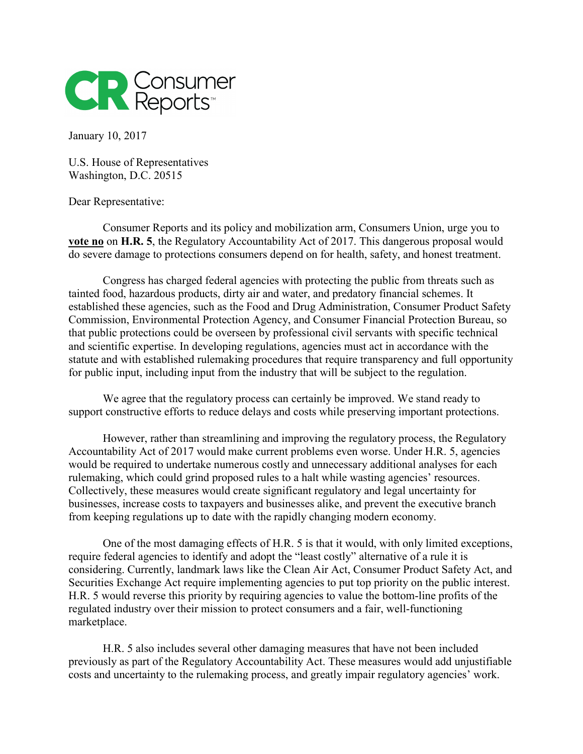

January 10, 2017

U.S. House of Representatives Washington, D.C. 20515

Dear Representative:

Consumer Reports and its policy and mobilization arm, Consumers Union, urge you to **vote no** on **H.R. 5**, the Regulatory Accountability Act of 2017. This dangerous proposal would do severe damage to protections consumers depend on for health, safety, and honest treatment.

Congress has charged federal agencies with protecting the public from threats such as tainted food, hazardous products, dirty air and water, and predatory financial schemes. It established these agencies, such as the Food and Drug Administration, Consumer Product Safety Commission, Environmental Protection Agency, and Consumer Financial Protection Bureau, so that public protections could be overseen by professional civil servants with specific technical and scientific expertise. In developing regulations, agencies must act in accordance with the statute and with established rulemaking procedures that require transparency and full opportunity for public input, including input from the industry that will be subject to the regulation.

We agree that the regulatory process can certainly be improved. We stand ready to support constructive efforts to reduce delays and costs while preserving important protections.

However, rather than streamlining and improving the regulatory process, the Regulatory Accountability Act of 2017 would make current problems even worse. Under H.R. 5, agencies would be required to undertake numerous costly and unnecessary additional analyses for each rulemaking, which could grind proposed rules to a halt while wasting agencies' resources. Collectively, these measures would create significant regulatory and legal uncertainty for businesses, increase costs to taxpayers and businesses alike, and prevent the executive branch from keeping regulations up to date with the rapidly changing modern economy.

One of the most damaging effects of H.R. 5 is that it would, with only limited exceptions, require federal agencies to identify and adopt the "least costly" alternative of a rule it is considering. Currently, landmark laws like the Clean Air Act, Consumer Product Safety Act, and Securities Exchange Act require implementing agencies to put top priority on the public interest. H.R. 5 would reverse this priority by requiring agencies to value the bottom-line profits of the regulated industry over their mission to protect consumers and a fair, well-functioning marketplace.

H.R. 5 also includes several other damaging measures that have not been included previously as part of the Regulatory Accountability Act. These measures would add unjustifiable costs and uncertainty to the rulemaking process, and greatly impair regulatory agencies' work.